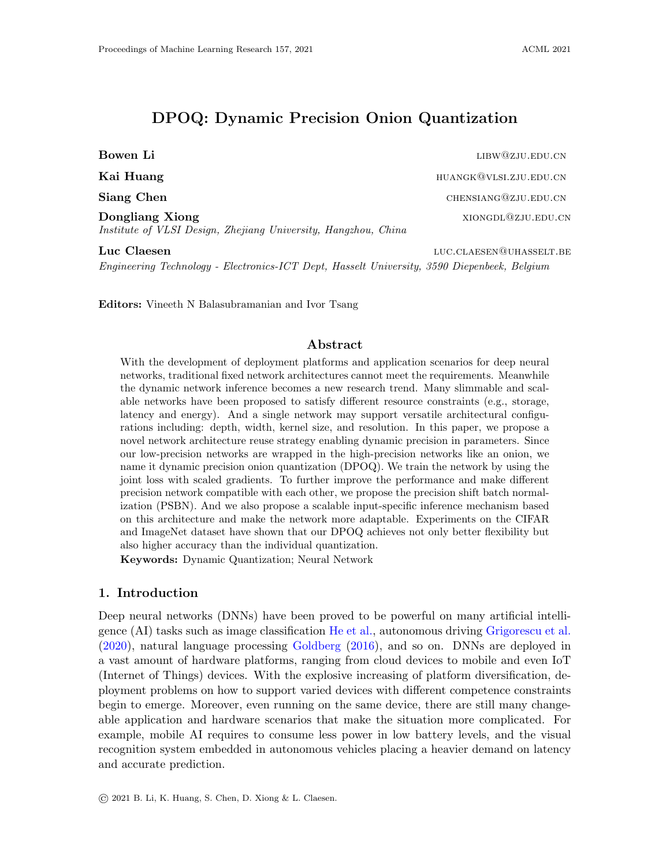# DPOQ: Dynamic Precision Onion Quantization

Bowen Li and the contract of the contract of the contract of the contract of the contract of the contract of the contract of the contract of the contract of the contract of the contract of the contract of the contract of t Kai Huang huangkan kalendarya kata sa mana kata sa mana kata sa mana kata sa mana kata sa mana kata sa mana ka Siang Chen chensiang@zju.edu.cn **Dongliang Xiong** xiong xiong xiong xiong xiong xiong xiong xiong xiong xiong xiong xiong xiong xiong xiong xiong xiong xiong xiong xiong xiong xiong xiong xiong xiong xiong xiong xiong xiong xiong xiong xiong xiong xiong Institute of VLSI Design, Zhejiang University, Hangzhou, China

Luc Claesen luc.claesen luc.claesen luc.claesen luc.claesen luc.claesen luc.claesen luc.claesen luc.claesen luc Engineering Technology - Electronics-ICT Dept, Hasselt University, 3590 Diepenbeek, Belgium

Editors: Vineeth N Balasubramanian and Ivor Tsang

## Abstract

With the development of deployment platforms and application scenarios for deep neural networks, traditional fixed network architectures cannot meet the requirements. Meanwhile the dynamic network inference becomes a new research trend. Many slimmable and scalable networks have been proposed to satisfy different resource constraints (e.g., storage, latency and energy). And a single network may support versatile architectural configurations including: depth, width, kernel size, and resolution. In this paper, we propose a novel network architecture reuse strategy enabling dynamic precision in parameters. Since our low-precision networks are wrapped in the high-precision networks like an onion, we name it dynamic precision onion quantization (DPOQ). We train the network by using the joint loss with scaled gradients. To further improve the performance and make different precision network compatible with each other, we propose the precision shift batch normalization (PSBN). And we also propose a scalable input-specific inference mechanism based on this architecture and make the network more adaptable. Experiments on the CIFAR and ImageNet dataset have shown that our DPOQ achieves not only better flexibility but also higher accuracy than the individual quantization.

Keywords: Dynamic Quantization; Neural Network

## 1. Introduction

Deep neural networks (DNNs) have been proved to be powerful on many artificial intelligence (AI) tasks such as image classification [He et al.,](#page-13-0) autonomous driving [Grigorescu et al.](#page-13-1) [\(2020\)](#page-13-1), natural language processing [Goldberg](#page-13-2) [\(2016\)](#page-13-2), and so on. DNNs are deployed in a vast amount of hardware platforms, ranging from cloud devices to mobile and even IoT (Internet of Things) devices. With the explosive increasing of platform diversification, deployment problems on how to support varied devices with different competence constraints begin to emerge. Moreover, even running on the same device, there are still many changeable application and hardware scenarios that make the situation more complicated. For example, mobile AI requires to consume less power in low battery levels, and the visual recognition system embedded in autonomous vehicles placing a heavier demand on latency and accurate prediction.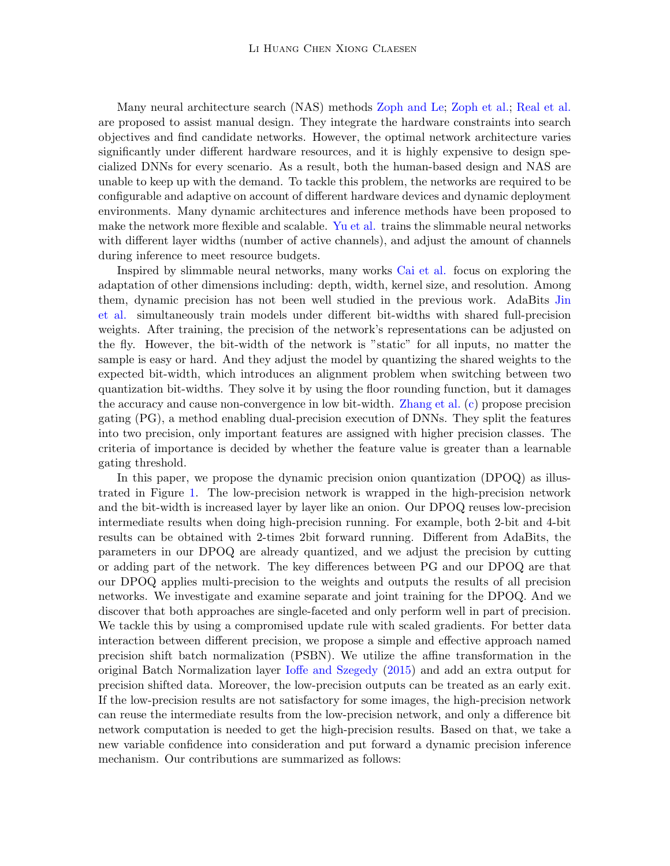Many neural architecture search (NAS) methods [Zoph and Le;](#page-15-0) [Zoph et al.;](#page-15-1) [Real et al.](#page-14-0) are proposed to assist manual design. They integrate the hardware constraints into search objectives and find candidate networks. However, the optimal network architecture varies significantly under different hardware resources, and it is highly expensive to design specialized DNNs for every scenario. As a result, both the human-based design and NAS are unable to keep up with the demand. To tackle this problem, the networks are required to be configurable and adaptive on account of different hardware devices and dynamic deployment environments. Many dynamic architectures and inference methods have been proposed to make the network more flexible and scalable. [Yu et al.](#page-15-2) trains the slimmable neural networks with different layer widths (number of active channels), and adjust the amount of channels during inference to meet resource budgets.

Inspired by slimmable neural networks, many works [Cai et al.](#page-12-0) focus on exploring the adaptation of other dimensions including: depth, width, kernel size, and resolution. Among them, dynamic precision has not been well studied in the previous work. AdaBits [Jin](#page-14-1) [et al.](#page-14-1) simultaneously train models under different bit-widths with shared full-precision weights. After training, the precision of the network's representations can be adjusted on the fly. However, the bit-width of the network is "static" for all inputs, no matter the sample is easy or hard. And they adjust the model by quantizing the shared weights to the expected bit-width, which introduces an alignment problem when switching between two quantization bit-widths. They solve it by using the floor rounding function, but it damages the accuracy and cause non-convergence in low bit-width. [Zhang et al.](#page-15-3) [\(c\)](#page-15-3) propose precision gating (PG), a method enabling dual-precision execution of DNNs. They split the features into two precision, only important features are assigned with higher precision classes. The criteria of importance is decided by whether the feature value is greater than a learnable gating threshold.

In this paper, we propose the dynamic precision onion quantization (DPOQ) as illustrated in Figure [1.](#page-2-0) The low-precision network is wrapped in the high-precision network and the bit-width is increased layer by layer like an onion. Our DPOQ reuses low-precision intermediate results when doing high-precision running. For example, both 2-bit and 4-bit results can be obtained with 2-times 2bit forward running. Different from AdaBits, the parameters in our DPOQ are already quantized, and we adjust the precision by cutting or adding part of the network. The key differences between PG and our DPOQ are that our DPOQ applies multi-precision to the weights and outputs the results of all precision networks. We investigate and examine separate and joint training for the DPOQ. And we discover that both approaches are single-faceted and only perform well in part of precision. We tackle this by using a compromised update rule with scaled gradients. For better data interaction between different precision, we propose a simple and effective approach named precision shift batch normalization (PSBN). We utilize the affine transformation in the original Batch Normalization layer [Ioffe and Szegedy](#page-13-3) [\(2015\)](#page-13-3) and add an extra output for precision shifted data. Moreover, the low-precision outputs can be treated as an early exit. If the low-precision results are not satisfactory for some images, the high-precision network can reuse the intermediate results from the low-precision network, and only a difference bit network computation is needed to get the high-precision results. Based on that, we take a new variable confidence into consideration and put forward a dynamic precision inference mechanism. Our contributions are summarized as follows: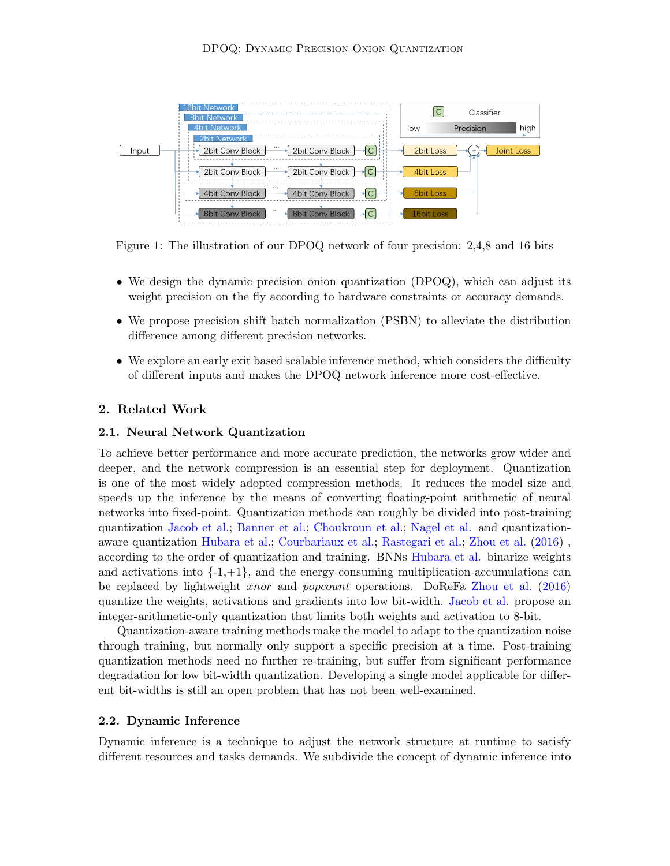

<span id="page-2-0"></span>Figure 1: The illustration of our DPOQ network of four precision: 2,4,8 and 16 bits

- We design the dynamic precision onion quantization (DPOQ), which can adjust its weight precision on the fly according to hardware constraints or accuracy demands.
- We propose precision shift batch normalization (PSBN) to alleviate the distribution difference among different precision networks.
- We explore an early exit based scalable inference method, which considers the difficulty of different inputs and makes the DPOQ network inference more cost-effective.

## 2. Related Work

#### 2.1. Neural Network Quantization

To achieve better performance and more accurate prediction, the networks grow wider and deeper, and the network compression is an essential step for deployment. Quantization is one of the most widely adopted compression methods. It reduces the model size and speeds up the inference by the means of converting floating-point arithmetic of neural networks into fixed-point. Quantization methods can roughly be divided into post-training quantization [Jacob et al.;](#page-13-4) [Banner et al.;](#page-12-1) [Choukroun et al.;](#page-13-5) [Nagel et al.](#page-14-2) and quantizationaware quantization [Hubara et al.;](#page-13-6) [Courbariaux et al.;](#page-13-7) [Rastegari et al.;](#page-14-3) [Zhou et al.](#page-15-4) [\(2016\)](#page-15-4) , according to the order of quantization and training. BNNs [Hubara et al.](#page-13-6) binarize weights and activations into  $\{-1, +1\}$ , and the energy-consuming multiplication-accumulations can be replaced by lightweight xnor and popcount operations. DoReFa [Zhou et al.](#page-15-4) [\(2016\)](#page-15-4) quantize the weights, activations and gradients into low bit-width. [Jacob et al.](#page-13-4) propose an integer-arithmetic-only quantization that limits both weights and activation to 8-bit.

Quantization-aware training methods make the model to adapt to the quantization noise through training, but normally only support a specific precision at a time. Post-training quantization methods need no further re-training, but suffer from significant performance degradation for low bit-width quantization. Developing a single model applicable for different bit-widths is still an open problem that has not been well-examined.

#### 2.2. Dynamic Inference

Dynamic inference is a technique to adjust the network structure at runtime to satisfy different resources and tasks demands. We subdivide the concept of dynamic inference into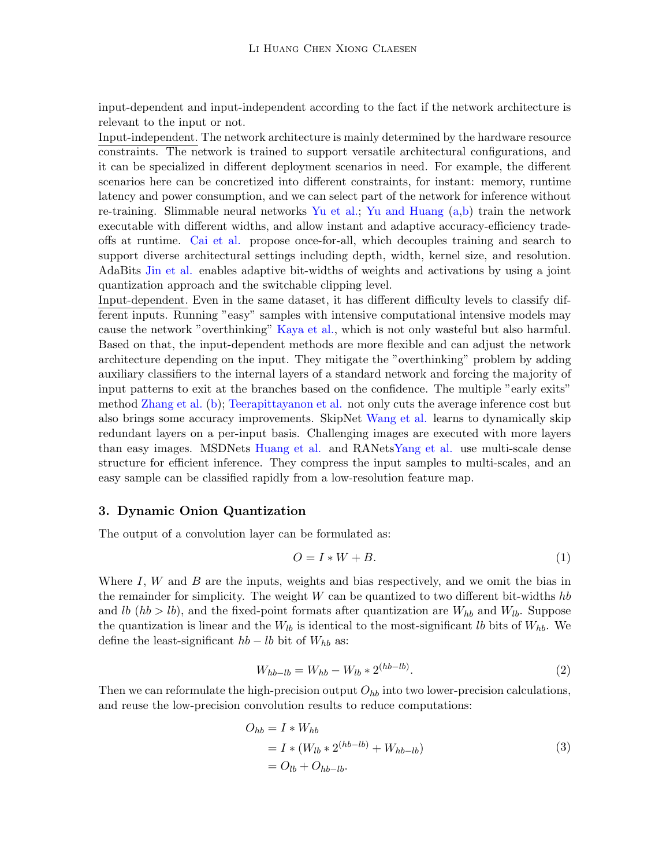input-dependent and input-independent according to the fact if the network architecture is relevant to the input or not.

Input-independent. The network architecture is mainly determined by the hardware resource constraints. The network is trained to support versatile architectural configurations, and it can be specialized in different deployment scenarios in need. For example, the different scenarios here can be concretized into different constraints, for instant: memory, runtime latency and power consumption, and we can select part of the network for inference without re-training. Slimmable neural networks [Yu et al.;](#page-15-2) [Yu and Huang](#page-15-5) [\(a,](#page-15-5)[b\)](#page-15-6) train the network executable with different widths, and allow instant and adaptive accuracy-efficiency tradeoffs at runtime. [Cai et al.](#page-12-0) propose once-for-all, which decouples training and search to support diverse architectural settings including depth, width, kernel size, and resolution. AdaBits [Jin et al.](#page-14-1) enables adaptive bit-widths of weights and activations by using a joint quantization approach and the switchable clipping level.

Input-dependent. Even in the same dataset, it has different difficulty levels to classify different inputs. Running "easy" samples with intensive computational intensive models may cause the network "overthinking" [Kaya et al.,](#page-14-4) which is not only wasteful but also harmful. Based on that, the input-dependent methods are more flexible and can adjust the network architecture depending on the input. They mitigate the "overthinking" problem by adding auxiliary classifiers to the internal layers of a standard network and forcing the majority of input patterns to exit at the branches based on the confidence. The multiple "early exits" method [Zhang et al.](#page-15-7) [\(b\)](#page-15-7); [Teerapittayanon et al.](#page-14-5) not only cuts the average inference cost but also brings some accuracy improvements. SkipNet [Wang et al.](#page-14-6) learns to dynamically skip redundant layers on a per-input basis. Challenging images are executed with more layers than easy images. MSDNets [Huang et al.](#page-13-8) and RANet[sYang et al.](#page-14-7) use multi-scale dense structure for efficient inference. They compress the input samples to multi-scales, and an easy sample can be classified rapidly from a low-resolution feature map.

## 3. Dynamic Onion Quantization

The output of a convolution layer can be formulated as:

$$
O = I * W + B. \tag{1}
$$

Where I,  $W$  and  $B$  are the inputs, weights and bias respectively, and we omit the bias in the remainder for simplicity. The weight  $W$  can be quantized to two different bit-widths hb and lb  $(hb > lb)$ , and the fixed-point formats after quantization are  $W_{hb}$  and  $W_{lb}$ . Suppose the quantization is linear and the  $W_{lb}$  is identical to the most-significant lb bits of  $W_{hb}$ . We define the least-significant  $hb - lb$  bit of  $W_{hb}$  as:

$$
W_{hb-lb} = W_{hb} - W_{lb} * 2^{(hb-lb)}.
$$
\n(2)

Then we can reformulate the high-precision output  $O_{hb}$  into two lower-precision calculations, and reuse the low-precision convolution results to reduce computations:

$$
O_{hb} = I * W_{hb}
$$
  
=  $I * (W_{lb} * 2^{(hb-lb)} + W_{hb-lb})$   
=  $O_{lb} + O_{hb-lb}$ . (3)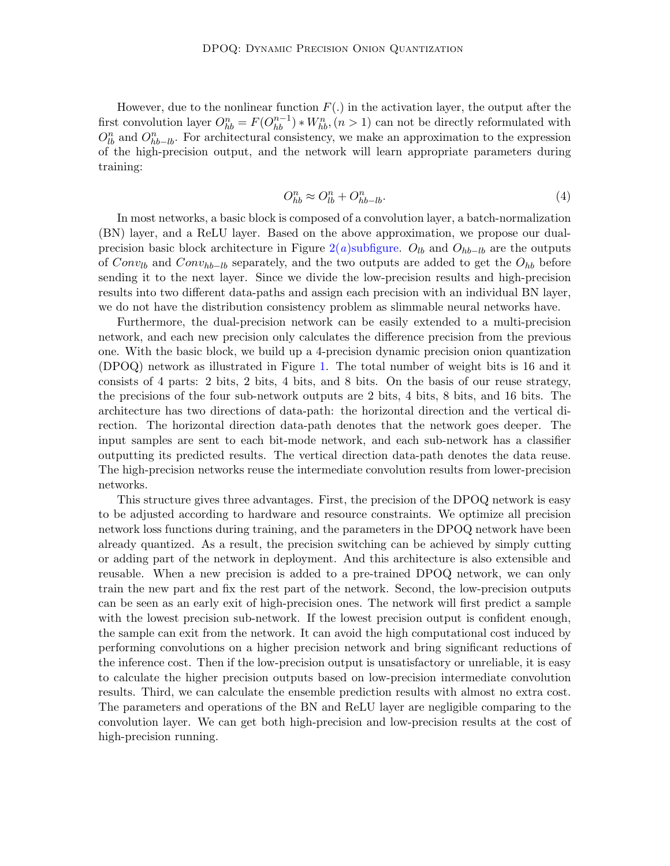However, due to the nonlinear function  $F(.)$  in the activation layer, the output after the first convolution layer  $O_{hb}^n = F(O_{hb}^{n-1}) * W_{hb}^n$ ,  $(n > 1)$  can not be directly reformulated with  $O_{lb}^n$  and  $O_{hb-lb}^n$ . For architectural consistency, we make an approximation to the expression of the high-precision output, and the network will learn appropriate parameters during training:

$$
O_{hb}^n \approx O_{lb}^n + O_{hb-lb}^n. \tag{4}
$$

In most networks, a basic block is composed of a convolution layer, a batch-normalization (BN) layer, and a ReLU layer. Based on the above approximation, we propose our dual-precision basic block architecture in Figure 2(a[\)subfigure.](#page-6-0)  $O_{lb}$  and  $O_{hb-lb}$  are the outputs of  $Conv_{lb}$  and  $Conv_{hb-b}$  separately, and the two outputs are added to get the  $O_{hb}$  before sending it to the next layer. Since we divide the low-precision results and high-precision results into two different data-paths and assign each precision with an individual BN layer, we do not have the distribution consistency problem as slimmable neural networks have.

Furthermore, the dual-precision network can be easily extended to a multi-precision network, and each new precision only calculates the difference precision from the previous one. With the basic block, we build up a 4-precision dynamic precision onion quantization (DPOQ) network as illustrated in Figure [1.](#page-2-0) The total number of weight bits is 16 and it consists of 4 parts: 2 bits, 2 bits, 4 bits, and 8 bits. On the basis of our reuse strategy, the precisions of the four sub-network outputs are 2 bits, 4 bits, 8 bits, and 16 bits. The architecture has two directions of data-path: the horizontal direction and the vertical direction. The horizontal direction data-path denotes that the network goes deeper. The input samples are sent to each bit-mode network, and each sub-network has a classifier outputting its predicted results. The vertical direction data-path denotes the data reuse. The high-precision networks reuse the intermediate convolution results from lower-precision networks.

This structure gives three advantages. First, the precision of the DPOQ network is easy to be adjusted according to hardware and resource constraints. We optimize all precision network loss functions during training, and the parameters in the DPOQ network have been already quantized. As a result, the precision switching can be achieved by simply cutting or adding part of the network in deployment. And this architecture is also extensible and reusable. When a new precision is added to a pre-trained DPOQ network, we can only train the new part and fix the rest part of the network. Second, the low-precision outputs can be seen as an early exit of high-precision ones. The network will first predict a sample with the lowest precision sub-network. If the lowest precision output is confident enough, the sample can exit from the network. It can avoid the high computational cost induced by performing convolutions on a higher precision network and bring significant reductions of the inference cost. Then if the low-precision output is unsatisfactory or unreliable, it is easy to calculate the higher precision outputs based on low-precision intermediate convolution results. Third, we can calculate the ensemble prediction results with almost no extra cost. The parameters and operations of the BN and ReLU layer are negligible comparing to the convolution layer. We can get both high-precision and low-precision results at the cost of high-precision running.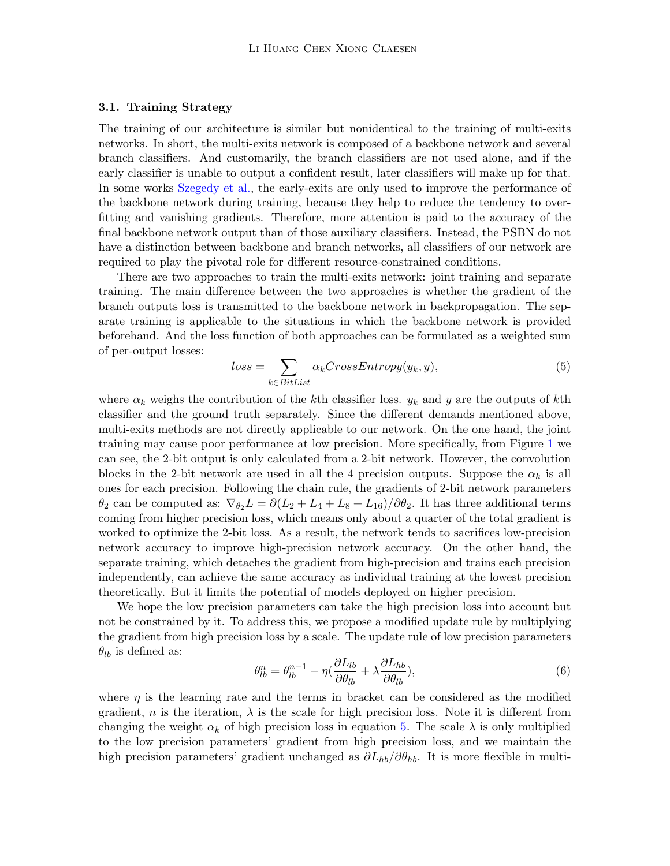## 3.1. Training Strategy

The training of our architecture is similar but nonidentical to the training of multi-exits networks. In short, the multi-exits network is composed of a backbone network and several branch classifiers. And customarily, the branch classifiers are not used alone, and if the early classifier is unable to output a confident result, later classifiers will make up for that. In some works [Szegedy et al.,](#page-14-8) the early-exits are only used to improve the performance of the backbone network during training, because they help to reduce the tendency to overfitting and vanishing gradients. Therefore, more attention is paid to the accuracy of the final backbone network output than of those auxiliary classifiers. Instead, the PSBN do not have a distinction between backbone and branch networks, all classifiers of our network are required to play the pivotal role for different resource-constrained conditions.

There are two approaches to train the multi-exits network: joint training and separate training. The main difference between the two approaches is whether the gradient of the branch outputs loss is transmitted to the backbone network in backpropagation. The separate training is applicable to the situations in which the backbone network is provided beforehand. And the loss function of both approaches can be formulated as a weighted sum of per-output losses:

<span id="page-5-0"></span>
$$
loss = \sum_{k \in BitList} \alpha_k CrossEntropy(y_k, y), \tag{5}
$$

where  $\alpha_k$  weighs the contribution of the kth classifier loss.  $y_k$  and y are the outputs of kth classifier and the ground truth separately. Since the different demands mentioned above, multi-exits methods are not directly applicable to our network. On the one hand, the joint training may cause poor performance at low precision. More specifically, from Figure [1](#page-2-0) we can see, the 2-bit output is only calculated from a 2-bit network. However, the convolution blocks in the 2-bit network are used in all the 4 precision outputs. Suppose the  $\alpha_k$  is all ones for each precision. Following the chain rule, the gradients of 2-bit network parameters  $\theta_2$  can be computed as:  $\nabla_{\theta_2}L = \partial (L_2 + L_4 + L_8 + L_{16})/\partial \theta_2$ . It has three additional terms coming from higher precision loss, which means only about a quarter of the total gradient is worked to optimize the 2-bit loss. As a result, the network tends to sacrifices low-precision network accuracy to improve high-precision network accuracy. On the other hand, the separate training, which detaches the gradient from high-precision and trains each precision independently, can achieve the same accuracy as individual training at the lowest precision theoretically. But it limits the potential of models deployed on higher precision.

We hope the low precision parameters can take the high precision loss into account but not be constrained by it. To address this, we propose a modified update rule by multiplying the gradient from high precision loss by a scale. The update rule of low precision parameters  $\theta_{lb}$  is defined as:

$$
\theta_{lb}^n = \theta_{lb}^{n-1} - \eta \left( \frac{\partial L_{lb}}{\partial \theta_{lb}} + \lambda \frac{\partial L_{hb}}{\partial \theta_{lb}} \right),\tag{6}
$$

where  $\eta$  is the learning rate and the terms in bracket can be considered as the modified gradient, n is the iteration,  $\lambda$  is the scale for high precision loss. Note it is different from changing the weight  $\alpha_k$  of high precision loss in equation [5.](#page-5-0) The scale  $\lambda$  is only multiplied to the low precision parameters' gradient from high precision loss, and we maintain the high precision parameters' gradient unchanged as  $\partial L_{hb}/\partial \theta_{hb}$ . It is more flexible in multi-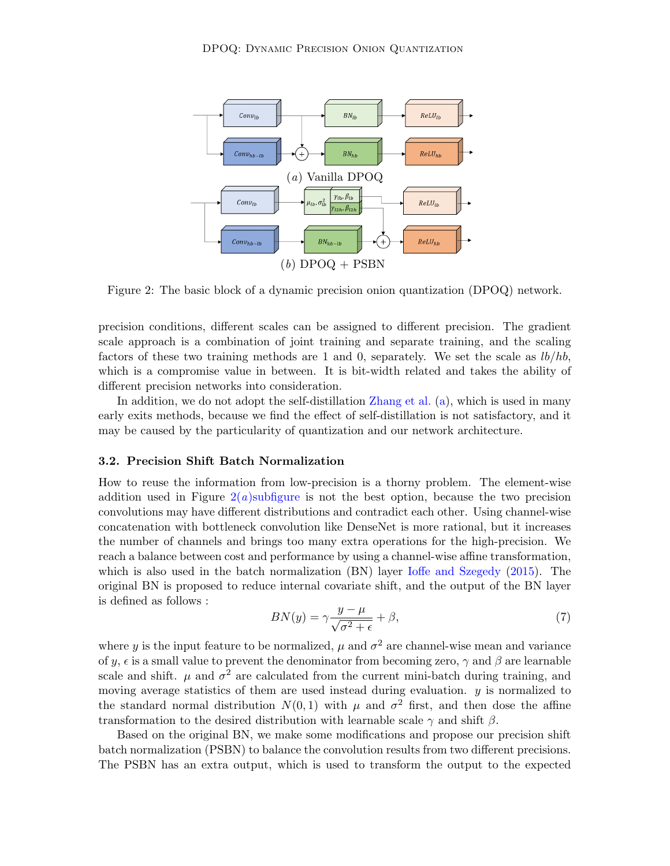<span id="page-6-0"></span>

<span id="page-6-1"></span>Figure 2: The basic block of a dynamic precision onion quantization (DPOQ) network.

precision conditions, different scales can be assigned to different precision. The gradient scale approach is a combination of joint training and separate training, and the scaling factors of these two training methods are 1 and 0, separately. We set the scale as  $lb/hb$ , which is a compromise value in between. It is bit-width related and takes the ability of different precision networks into consideration.

In addition, we do not adopt the self-distillation [Zhang et al.](#page-15-8) [\(a\)](#page-15-8), which is used in many early exits methods, because we find the effect of self-distillation is not satisfactory, and it may be caused by the particularity of quantization and our network architecture.

## 3.2. Precision Shift Batch Normalization

How to reuse the information from low-precision is a thorny problem. The element-wise addition used in Figure  $2(a)$ subfigure is not the best option, because the two precision convolutions may have different distributions and contradict each other. Using channel-wise concatenation with bottleneck convolution like DenseNet is more rational, but it increases the number of channels and brings too many extra operations for the high-precision. We reach a balance between cost and performance by using a channel-wise affine transformation, which is also used in the batch normalization (BN) layer [Ioffe and Szegedy](#page-13-3) [\(2015\)](#page-13-3). The original BN is proposed to reduce internal covariate shift, and the output of the BN layer is defined as follows :

$$
BN(y) = \gamma \frac{y - \mu}{\sqrt{\sigma^2 + \epsilon}} + \beta,\tag{7}
$$

where y is the input feature to be normalized,  $\mu$  and  $\sigma^2$  are channel-wise mean and variance of y,  $\epsilon$  is a small value to prevent the denominator from becoming zero,  $\gamma$  and  $\beta$  are learnable scale and shift.  $\mu$  and  $\sigma^2$  are calculated from the current mini-batch during training, and moving average statistics of them are used instead during evaluation.  $y$  is normalized to the standard normal distribution  $N(0,1)$  with  $\mu$  and  $\sigma^2$  first, and then dose the affine transformation to the desired distribution with learnable scale  $\gamma$  and shift  $\beta$ .

Based on the original BN, we make some modifications and propose our precision shift batch normalization (PSBN) to balance the convolution results from two different precisions. The PSBN has an extra output, which is used to transform the output to the expected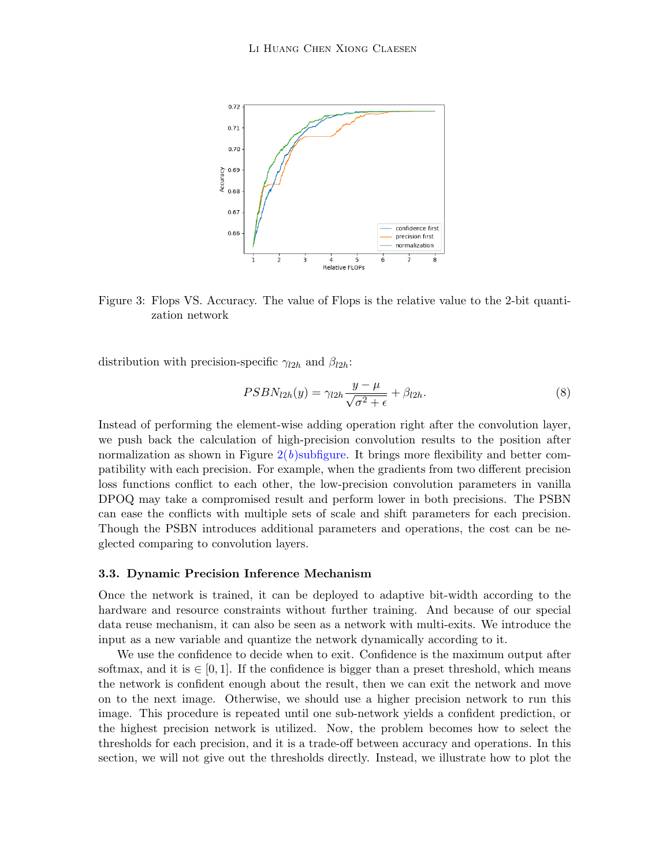

Figure 3: Flops VS. Accuracy. The value of Flops is the relative value to the 2-bit quantization network

distribution with precision-specific  $\gamma_{l2h}$  and  $\beta_{l2h}$ :

<span id="page-7-0"></span>
$$
PSBN_{l2h}(y) = \gamma_{l2h} \frac{y - \mu}{\sqrt{\sigma^2 + \epsilon}} + \beta_{l2h}.
$$
\n(8)

Instead of performing the element-wise adding operation right after the convolution layer, we push back the calculation of high-precision convolution results to the position after normalization as shown in Figure  $2(b)$ subfigure. It brings more flexibility and better compatibility with each precision. For example, when the gradients from two different precision loss functions conflict to each other, the low-precision convolution parameters in vanilla DPOQ may take a compromised result and perform lower in both precisions. The PSBN can ease the conflicts with multiple sets of scale and shift parameters for each precision. Though the PSBN introduces additional parameters and operations, the cost can be neglected comparing to convolution layers.

## 3.3. Dynamic Precision Inference Mechanism

Once the network is trained, it can be deployed to adaptive bit-width according to the hardware and resource constraints without further training. And because of our special data reuse mechanism, it can also be seen as a network with multi-exits. We introduce the input as a new variable and quantize the network dynamically according to it.

We use the confidence to decide when to exit. Confidence is the maximum output after softmax, and it is  $\in [0, 1]$ . If the confidence is bigger than a preset threshold, which means the network is confident enough about the result, then we can exit the network and move on to the next image. Otherwise, we should use a higher precision network to run this image. This procedure is repeated until one sub-network yields a confident prediction, or the highest precision network is utilized. Now, the problem becomes how to select the thresholds for each precision, and it is a trade-off between accuracy and operations. In this section, we will not give out the thresholds directly. Instead, we illustrate how to plot the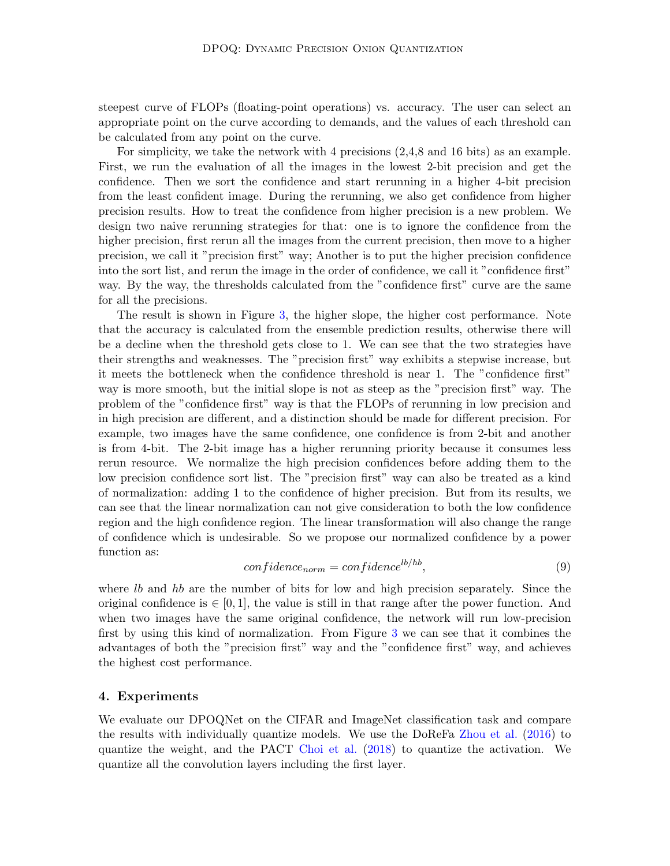steepest curve of FLOPs (floating-point operations) vs. accuracy. The user can select an appropriate point on the curve according to demands, and the values of each threshold can be calculated from any point on the curve.

For simplicity, we take the network with 4 precisions (2,4,8 and 16 bits) as an example. First, we run the evaluation of all the images in the lowest 2-bit precision and get the confidence. Then we sort the confidence and start rerunning in a higher 4-bit precision from the least confident image. During the rerunning, we also get confidence from higher precision results. How to treat the confidence from higher precision is a new problem. We design two naive rerunning strategies for that: one is to ignore the confidence from the higher precision, first rerun all the images from the current precision, then move to a higher precision, we call it "precision first" way; Another is to put the higher precision confidence into the sort list, and rerun the image in the order of confidence, we call it "confidence first" way. By the way, the thresholds calculated from the "confidence first" curve are the same for all the precisions.

The result is shown in Figure [3,](#page-7-0) the higher slope, the higher cost performance. Note that the accuracy is calculated from the ensemble prediction results, otherwise there will be a decline when the threshold gets close to 1. We can see that the two strategies have their strengths and weaknesses. The "precision first" way exhibits a stepwise increase, but it meets the bottleneck when the confidence threshold is near 1. The "confidence first" way is more smooth, but the initial slope is not as steep as the "precision first" way. The problem of the "confidence first" way is that the FLOPs of rerunning in low precision and in high precision are different, and a distinction should be made for different precision. For example, two images have the same confidence, one confidence is from 2-bit and another is from 4-bit. The 2-bit image has a higher rerunning priority because it consumes less rerun resource. We normalize the high precision confidences before adding them to the low precision confidence sort list. The "precision first" way can also be treated as a kind of normalization: adding 1 to the confidence of higher precision. But from its results, we can see that the linear normalization can not give consideration to both the low confidence region and the high confidence region. The linear transformation will also change the range of confidence which is undesirable. So we propose our normalized confidence by a power function as:

$$
confidence_{norm} = confidence^{lb/hb},\tag{9}
$$

where lb and hb are the number of bits for low and high precision separately. Since the original confidence is  $\in [0, 1]$ , the value is still in that range after the power function. And when two images have the same original confidence, the network will run low-precision first by using this kind of normalization. From Figure [3](#page-7-0) we can see that it combines the advantages of both the "precision first" way and the "confidence first" way, and achieves the highest cost performance.

## 4. Experiments

We evaluate our DPOQNet on the CIFAR and ImageNet classification task and compare the results with individually quantize models. We use the DoReFa [Zhou et al.](#page-15-4) [\(2016\)](#page-15-4) to quantize the weight, and the PACT [Choi et al.](#page-13-9) [\(2018\)](#page-13-9) to quantize the activation. We quantize all the convolution layers including the first layer.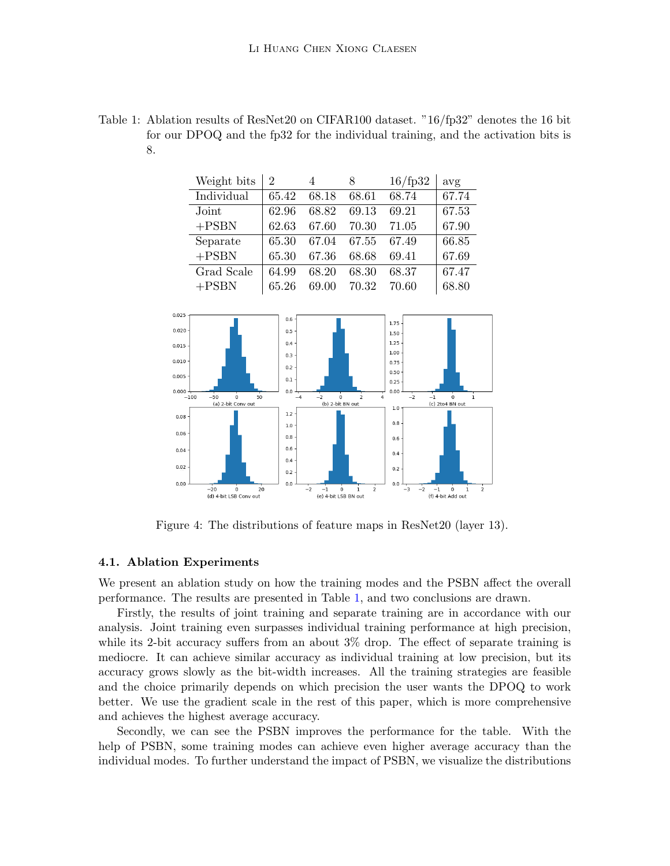<span id="page-9-0"></span>

| Table 1: Ablation results of ResNet20 on CIFAR100 dataset. " $16$ /fp32" denotes the 16 bit |
|---------------------------------------------------------------------------------------------|
| for our DPOQ and the fp32 for the individual training, and the activation bits is           |
|                                                                                             |

| Weight bits | 2     | 4     | 8     | $16$ /fp32 | avg   |
|-------------|-------|-------|-------|------------|-------|
| Individual  | 65.42 | 68.18 | 68.61 | 68.74      | 67.74 |
| Joint       | 62.96 | 68.82 | 69.13 | 69.21      | 67.53 |
| $+$ PSBN    | 62.63 | 67.60 | 70.30 | 71.05      | 67.90 |
| Separate    | 65.30 | 67.04 | 67.55 | 67.49      | 66.85 |
| $+$ PSBN    | 65.30 | 67.36 | 68.68 | 69.41      | 67.69 |
| Grad Scale  | 64.99 | 68.20 | 68.30 | 68.37      | 67.47 |
| $+$ PSBN    | 65.26 | 69.00 | 70.32 | 70.60      | 68.80 |



<span id="page-9-1"></span>Figure 4: The distributions of feature maps in ResNet20 (layer 13).

#### 4.1. Ablation Experiments

We present an ablation study on how the training modes and the PSBN affect the overall performance. The results are presented in Table [1,](#page-9-0) and two conclusions are drawn.

Firstly, the results of joint training and separate training are in accordance with our analysis. Joint training even surpasses individual training performance at high precision, while its 2-bit accuracy suffers from an about 3% drop. The effect of separate training is mediocre. It can achieve similar accuracy as individual training at low precision, but its accuracy grows slowly as the bit-width increases. All the training strategies are feasible and the choice primarily depends on which precision the user wants the DPOQ to work better. We use the gradient scale in the rest of this paper, which is more comprehensive and achieves the highest average accuracy.

Secondly, we can see the PSBN improves the performance for the table. With the help of PSBN, some training modes can achieve even higher average accuracy than the individual modes. To further understand the impact of PSBN, we visualize the distributions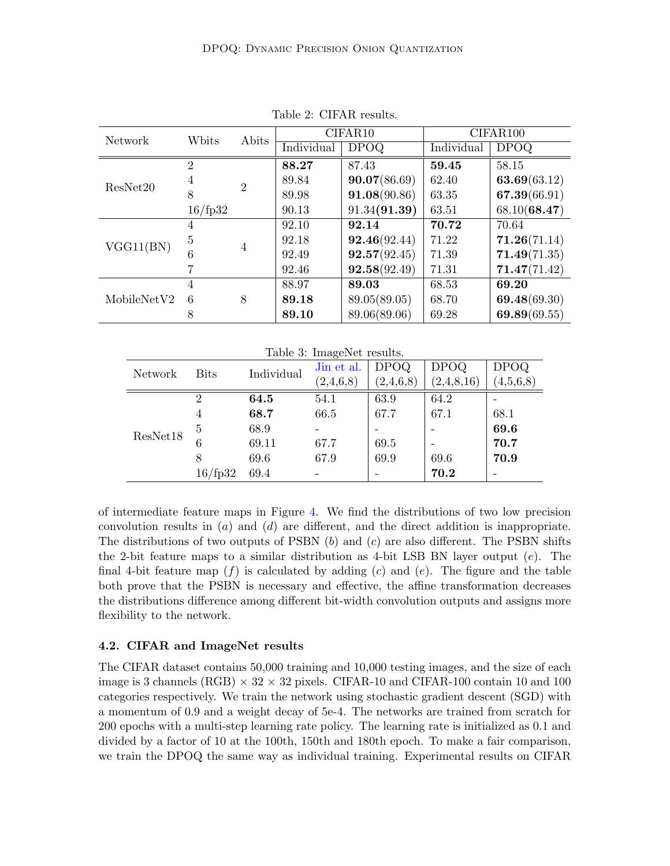<span id="page-10-0"></span>

| Network     | Wbits          | Abits          | CIFAR10    |              | CIFAR100   |              |
|-------------|----------------|----------------|------------|--------------|------------|--------------|
|             |                |                | Individual | <b>DPOQ</b>  | Individual | <b>DPOQ</b>  |
|             | $\overline{2}$ | $\overline{2}$ | 88.27      | 87.43        | 59.45      | 58.15        |
| ResNet20    | 4              |                | 89.84      | 90.07(86.69) | 62.40      | 63.69(63.12) |
|             | 8              |                | 89.98      | 91.08(90.86) | 63.35      | 67.39(66.91) |
|             | $16$ /fp32     |                | 90.13      | 91.34(91.39) | 63.51      | 68.10(68.47) |
|             | 4              | $\overline{4}$ | 92.10      | 92.14        | 70.72      | 70.64        |
| VGG11(BN)   | 5              |                | 92.18      | 92.46(92.44) | 71.22      | 71.26(71.14) |
|             | 6              |                | 92.49      | 92.57(92.45) | 71.39      | 71.49(71.35) |
|             |                |                | 92.46      | 92.58(92.49) | 71.31      | 71.47(71.42) |
|             | 4              | 8              | 88.97      | 89.03        | 68.53      | 69.20        |
| MobileNetV2 | 6              |                | 89.18      | 89.05(89.05) | 68.70      | 69.48(69.30) |
|             | 8              |                | 89.10      | 89.06(89.06) | 69.28      | 69.89(69.55) |

Table 2: CIFAR results.

<span id="page-10-1"></span>

| Table 3: ImageNet results. |             |            |            |              |             |             |  |
|----------------------------|-------------|------------|------------|--------------|-------------|-------------|--|
| Network                    | <b>Bits</b> | Individual | Jin et al. | <b>DPOQ</b>  | <b>DPOQ</b> | <b>DPOQ</b> |  |
|                            |             |            | (2,4,6,8)  | (2, 4, 6, 8) | (2,4,8,16)  | (4,5,6,8)   |  |
|                            | 2           | 64.5       | 54.1       | 63.9         | 64.2        |             |  |
|                            | 4           | 68.7       | 66.5       | 67.7         | 67.1        | 68.1        |  |
| ResNet18                   | 5           | 68.9       |            |              |             | 69.6        |  |
|                            | 6           | 69.11      | 67.7       | 69.5         |             | 70.7        |  |
|                            | 8           | 69.6       | 67.9       | 69.9         | 69.6        | 70.9        |  |
|                            | 16/fp32     | 69.4       |            |              | 70.2        |             |  |

of intermediate feature maps in Figure [4.](#page-9-1) We find the distributions of two low precision convolution results in  $(a)$  and  $(d)$  are different, and the direct addition is inappropriate. The distributions of two outputs of PSBN  $(b)$  and  $(c)$  are also different. The PSBN shifts the 2-bit feature maps to a similar distribution as 4-bit LSB BN layer output  $(e)$ . The final 4-bit feature map  $(f)$  is calculated by adding  $(c)$  and  $(e)$ . The figure and the table both prove that the PSBN is necessary and effective, the affine transformation decreases the distributions difference among different bit-width convolution outputs and assigns more flexibility to the network.

## 4.2. CIFAR and ImageNet results

The CIFAR dataset contains 50,000 training and 10,000 testing images, and the size of each image is 3 channels (RGB)  $\times$  32  $\times$  32 pixels. CIFAR-10 and CIFAR-100 contain 10 and 100 categories respectively. We train the network using stochastic gradient descent (SGD) with a momentum of 0.9 and a weight decay of 5e-4. The networks are trained from scratch for 200 epochs with a multi-step learning rate policy. The learning rate is initialized as 0.1 and divided by a factor of 10 at the 100th, 150th and 180th epoch. To make a fair comparison, we train the DPOQ the same way as individual training. Experimental results on CIFAR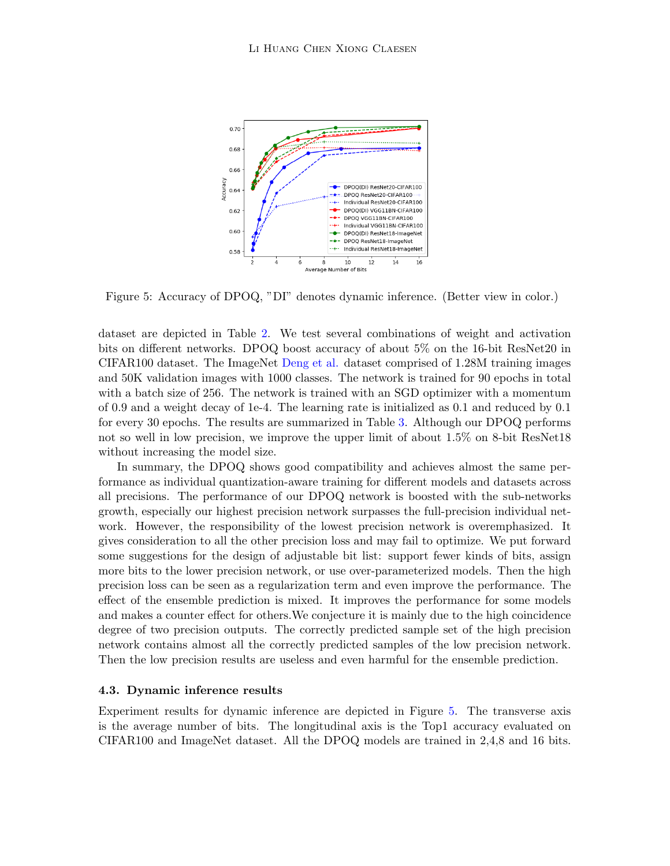<span id="page-11-0"></span>

Figure 5: Accuracy of DPOQ, "DI" denotes dynamic inference. (Better view in color.)

dataset are depicted in Table [2.](#page-10-0) We test several combinations of weight and activation bits on different networks. DPOQ boost accuracy of about 5% on the 16-bit ResNet20 in CIFAR100 dataset. The ImageNet [Deng et al.](#page-13-10) dataset comprised of 1.28M training images and 50K validation images with 1000 classes. The network is trained for 90 epochs in total with a batch size of 256. The network is trained with an SGD optimizer with a momentum of 0.9 and a weight decay of 1e-4. The learning rate is initialized as 0.1 and reduced by 0.1 for every 30 epochs. The results are summarized in Table [3.](#page-10-1) Although our DPOQ performs not so well in low precision, we improve the upper limit of about 1.5% on 8-bit ResNet18 without increasing the model size.

In summary, the DPOQ shows good compatibility and achieves almost the same performance as individual quantization-aware training for different models and datasets across all precisions. The performance of our DPOQ network is boosted with the sub-networks growth, especially our highest precision network surpasses the full-precision individual network. However, the responsibility of the lowest precision network is overemphasized. It gives consideration to all the other precision loss and may fail to optimize. We put forward some suggestions for the design of adjustable bit list: support fewer kinds of bits, assign more bits to the lower precision network, or use over-parameterized models. Then the high precision loss can be seen as a regularization term and even improve the performance. The effect of the ensemble prediction is mixed. It improves the performance for some models and makes a counter effect for others.We conjecture it is mainly due to the high coincidence degree of two precision outputs. The correctly predicted sample set of the high precision network contains almost all the correctly predicted samples of the low precision network. Then the low precision results are useless and even harmful for the ensemble prediction.

## 4.3. Dynamic inference results

Experiment results for dynamic inference are depicted in Figure [5.](#page-11-0) The transverse axis is the average number of bits. The longitudinal axis is the Top1 accuracy evaluated on CIFAR100 and ImageNet dataset. All the DPOQ models are trained in 2,4,8 and 16 bits.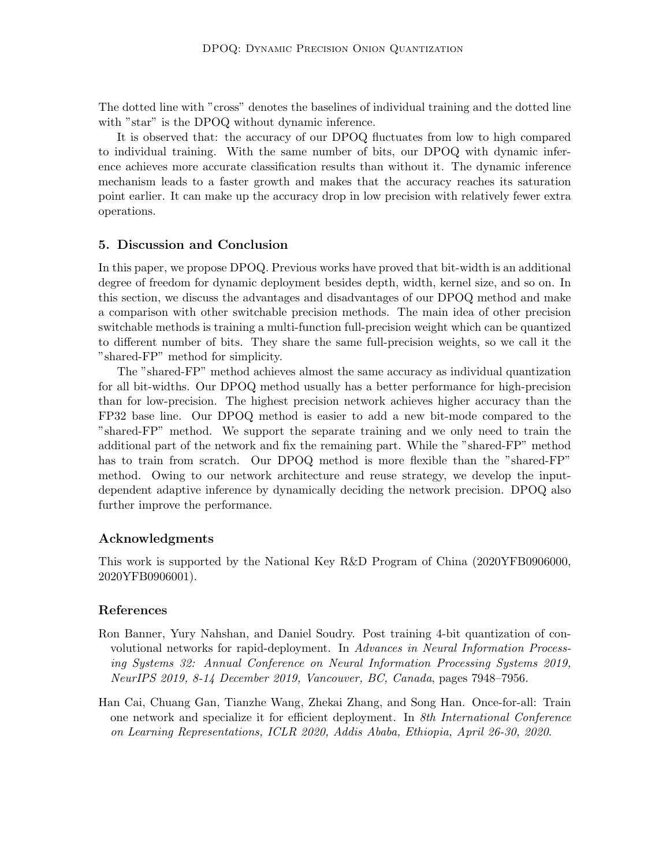The dotted line with "cross" denotes the baselines of individual training and the dotted line with "star" is the DPOQ without dynamic inference.

It is observed that: the accuracy of our DPOQ fluctuates from low to high compared to individual training. With the same number of bits, our DPOQ with dynamic inference achieves more accurate classification results than without it. The dynamic inference mechanism leads to a faster growth and makes that the accuracy reaches its saturation point earlier. It can make up the accuracy drop in low precision with relatively fewer extra operations.

# 5. Discussion and Conclusion

In this paper, we propose DPOQ. Previous works have proved that bit-width is an additional degree of freedom for dynamic deployment besides depth, width, kernel size, and so on. In this section, we discuss the advantages and disadvantages of our DPOQ method and make a comparison with other switchable precision methods. The main idea of other precision switchable methods is training a multi-function full-precision weight which can be quantized to different number of bits. They share the same full-precision weights, so we call it the "shared-FP" method for simplicity.

The "shared-FP" method achieves almost the same accuracy as individual quantization for all bit-widths. Our DPOQ method usually has a better performance for high-precision than for low-precision. The highest precision network achieves higher accuracy than the FP32 base line. Our DPOQ method is easier to add a new bit-mode compared to the "shared-FP" method. We support the separate training and we only need to train the additional part of the network and fix the remaining part. While the "shared-FP" method has to train from scratch. Our DPOQ method is more flexible than the "shared-FP" method. Owing to our network architecture and reuse strategy, we develop the inputdependent adaptive inference by dynamically deciding the network precision. DPOQ also further improve the performance.

# Acknowledgments

This work is supported by the National Key R&D Program of China (2020YFB0906000, 2020YFB0906001).

# References

- <span id="page-12-1"></span>Ron Banner, Yury Nahshan, and Daniel Soudry. Post training 4-bit quantization of convolutional networks for rapid-deployment. In Advances in Neural Information Processing Systems 32: Annual Conference on Neural Information Processing Systems 2019, NeurIPS 2019, 8-14 December 2019, Vancouver, BC, Canada, pages 7948–7956.
- <span id="page-12-0"></span>Han Cai, Chuang Gan, Tianzhe Wang, Zhekai Zhang, and Song Han. Once-for-all: Train one network and specialize it for efficient deployment. In 8th International Conference on Learning Representations, ICLR 2020, Addis Ababa, Ethiopia, April 26-30, 2020.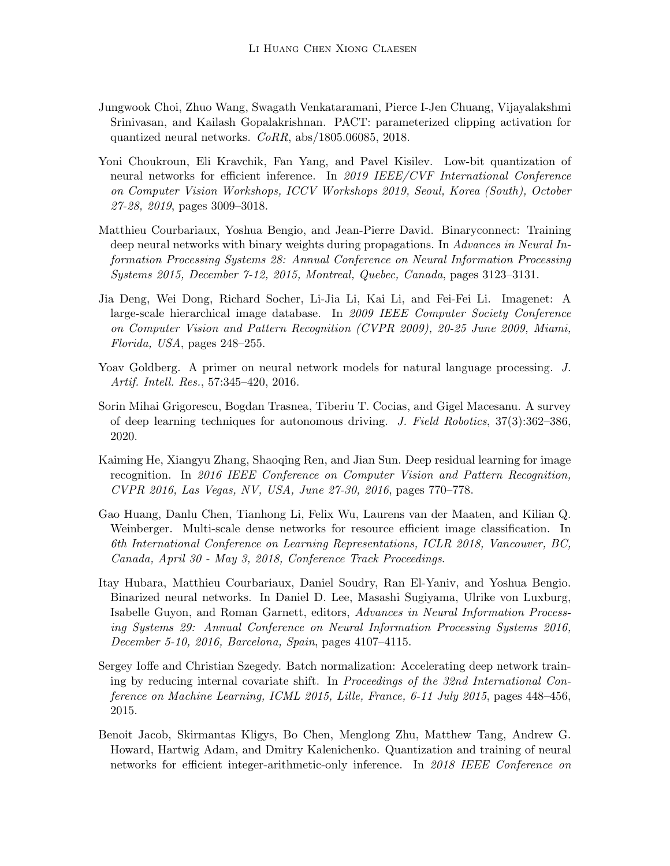- <span id="page-13-9"></span>Jungwook Choi, Zhuo Wang, Swagath Venkataramani, Pierce I-Jen Chuang, Vijayalakshmi Srinivasan, and Kailash Gopalakrishnan. PACT: parameterized clipping activation for quantized neural networks. CoRR, abs/1805.06085, 2018.
- <span id="page-13-5"></span>Yoni Choukroun, Eli Kravchik, Fan Yang, and Pavel Kisilev. Low-bit quantization of neural networks for efficient inference. In 2019 IEEE/CVF International Conference on Computer Vision Workshops, ICCV Workshops 2019, Seoul, Korea (South), October 27-28, 2019, pages 3009–3018.
- <span id="page-13-7"></span>Matthieu Courbariaux, Yoshua Bengio, and Jean-Pierre David. Binaryconnect: Training deep neural networks with binary weights during propagations. In Advances in Neural Information Processing Systems 28: Annual Conference on Neural Information Processing Systems 2015, December 7-12, 2015, Montreal, Quebec, Canada, pages 3123–3131.
- <span id="page-13-10"></span>Jia Deng, Wei Dong, Richard Socher, Li-Jia Li, Kai Li, and Fei-Fei Li. Imagenet: A large-scale hierarchical image database. In 2009 IEEE Computer Society Conference on Computer Vision and Pattern Recognition (CVPR 2009), 20-25 June 2009, Miami, Florida, USA, pages 248–255.
- <span id="page-13-2"></span>Yoav Goldberg. A primer on neural network models for natural language processing. J. Artif. Intell. Res., 57:345–420, 2016.
- <span id="page-13-1"></span>Sorin Mihai Grigorescu, Bogdan Trasnea, Tiberiu T. Cocias, and Gigel Macesanu. A survey of deep learning techniques for autonomous driving. J. Field Robotics, 37(3):362–386, 2020.
- <span id="page-13-0"></span>Kaiming He, Xiangyu Zhang, Shaoqing Ren, and Jian Sun. Deep residual learning for image recognition. In 2016 IEEE Conference on Computer Vision and Pattern Recognition, CVPR 2016, Las Vegas, NV, USA, June 27-30, 2016, pages 770–778.
- <span id="page-13-8"></span>Gao Huang, Danlu Chen, Tianhong Li, Felix Wu, Laurens van der Maaten, and Kilian Q. Weinberger. Multi-scale dense networks for resource efficient image classification. In 6th International Conference on Learning Representations, ICLR 2018, Vancouver, BC, Canada, April 30 - May 3, 2018, Conference Track Proceedings.
- <span id="page-13-6"></span>Itay Hubara, Matthieu Courbariaux, Daniel Soudry, Ran El-Yaniv, and Yoshua Bengio. Binarized neural networks. In Daniel D. Lee, Masashi Sugiyama, Ulrike von Luxburg, Isabelle Guyon, and Roman Garnett, editors, Advances in Neural Information Processing Systems 29: Annual Conference on Neural Information Processing Systems 2016, December 5-10, 2016, Barcelona, Spain, pages 4107–4115.
- <span id="page-13-3"></span>Sergey Ioffe and Christian Szegedy. Batch normalization: Accelerating deep network training by reducing internal covariate shift. In Proceedings of the 32nd International Conference on Machine Learning, ICML 2015, Lille, France, 6-11 July 2015, pages 448–456, 2015.
- <span id="page-13-4"></span>Benoit Jacob, Skirmantas Kligys, Bo Chen, Menglong Zhu, Matthew Tang, Andrew G. Howard, Hartwig Adam, and Dmitry Kalenichenko. Quantization and training of neural networks for efficient integer-arithmetic-only inference. In 2018 IEEE Conference on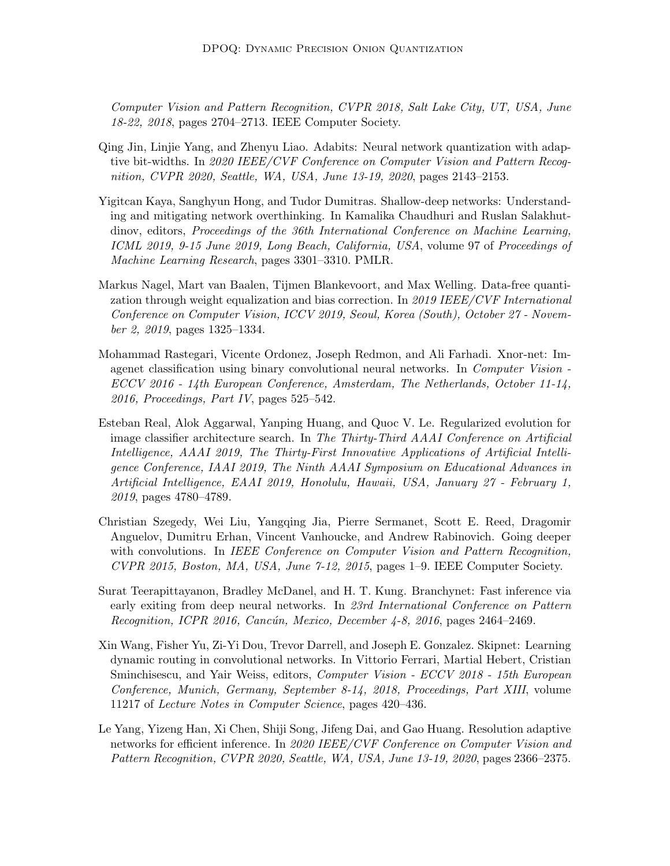Computer Vision and Pattern Recognition, CVPR 2018, Salt Lake City, UT, USA, June 18-22, 2018, pages 2704–2713. IEEE Computer Society.

- <span id="page-14-1"></span>Qing Jin, Linjie Yang, and Zhenyu Liao. Adabits: Neural network quantization with adaptive bit-widths. In 2020 IEEE/CVF Conference on Computer Vision and Pattern Recognition, CVPR 2020, Seattle, WA, USA, June 13-19, 2020, pages 2143–2153.
- <span id="page-14-4"></span>Yigitcan Kaya, Sanghyun Hong, and Tudor Dumitras. Shallow-deep networks: Understanding and mitigating network overthinking. In Kamalika Chaudhuri and Ruslan Salakhutdinov, editors, Proceedings of the 36th International Conference on Machine Learning, ICML 2019, 9-15 June 2019, Long Beach, California, USA, volume 97 of Proceedings of Machine Learning Research, pages 3301–3310. PMLR.
- <span id="page-14-2"></span>Markus Nagel, Mart van Baalen, Tijmen Blankevoort, and Max Welling. Data-free quantization through weight equalization and bias correction. In 2019 IEEE/CVF International Conference on Computer Vision, ICCV 2019, Seoul, Korea (South), October 27 - November 2, 2019, pages 1325–1334.
- <span id="page-14-3"></span>Mohammad Rastegari, Vicente Ordonez, Joseph Redmon, and Ali Farhadi. Xnor-net: Imagenet classification using binary convolutional neural networks. In Computer Vision - ECCV 2016 - 14th European Conference, Amsterdam, The Netherlands, October 11-14, 2016, Proceedings, Part IV, pages 525–542.
- <span id="page-14-0"></span>Esteban Real, Alok Aggarwal, Yanping Huang, and Quoc V. Le. Regularized evolution for image classifier architecture search. In The Thirty-Third AAAI Conference on Artificial Intelligence, AAAI 2019, The Thirty-First Innovative Applications of Artificial Intelligence Conference, IAAI 2019, The Ninth AAAI Symposium on Educational Advances in Artificial Intelligence, EAAI 2019, Honolulu, Hawaii, USA, January 27 - February 1, 2019, pages 4780–4789.
- <span id="page-14-8"></span>Christian Szegedy, Wei Liu, Yangqing Jia, Pierre Sermanet, Scott E. Reed, Dragomir Anguelov, Dumitru Erhan, Vincent Vanhoucke, and Andrew Rabinovich. Going deeper with convolutions. In IEEE Conference on Computer Vision and Pattern Recognition, CVPR 2015, Boston, MA, USA, June 7-12, 2015, pages 1–9. IEEE Computer Society.
- <span id="page-14-5"></span>Surat Teerapittayanon, Bradley McDanel, and H. T. Kung. Branchynet: Fast inference via early exiting from deep neural networks. In 23rd International Conference on Pattern Recognition, ICPR 2016, Cancún, Mexico, December 4-8, 2016, pages  $2464-2469$ .
- <span id="page-14-6"></span>Xin Wang, Fisher Yu, Zi-Yi Dou, Trevor Darrell, and Joseph E. Gonzalez. Skipnet: Learning dynamic routing in convolutional networks. In Vittorio Ferrari, Martial Hebert, Cristian Sminchisescu, and Yair Weiss, editors, Computer Vision - ECCV 2018 - 15th European Conference, Munich, Germany, September 8-14, 2018, Proceedings, Part XIII, volume 11217 of Lecture Notes in Computer Science, pages 420–436.
- <span id="page-14-7"></span>Le Yang, Yizeng Han, Xi Chen, Shiji Song, Jifeng Dai, and Gao Huang. Resolution adaptive networks for efficient inference. In 2020 IEEE/CVF Conference on Computer Vision and Pattern Recognition, CVPR 2020, Seattle, WA, USA, June 13-19, 2020, pages 2366–2375.